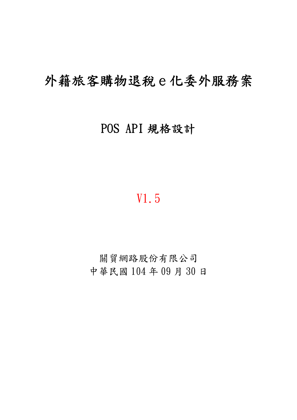# 外籍旅客購物退稅e化委外服務案

## POS API 規格設計

# V1.5

關貿網路股份有限公司 中華民國 104 年 09 月 30 日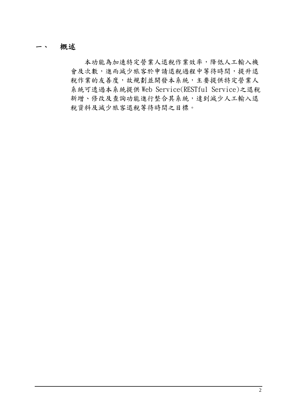一、 概述

本功能為加速特定營業人退稅作業效率,降低人工輸入機 會及次數,進而減少旅客於申請退稅過程中等待時間,提升退 稅作業的友善度,故規劃並開發本系統,主要提供特定營業人 系統可透過本系統提供 Web Service(RESTful Service)之退稅 新增、修改及查詢功能進行整合其系統,達到減少人工輸入退 稅資料及減少旅客退稅等待時間之目標。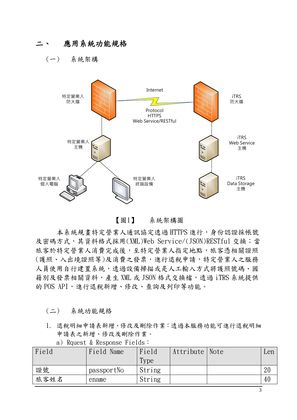### 二、 應用系統功能規格

(一) 系統架構



【圖1】 系統架構圖

本系統規畫特定營業人通訊協定透過 HTTPS 進行,身份認證採帳號 及密碼方式,其資料格式採用(XML)Web Service/(JSON)RESTful 交換;當 旅客於特定營業人消費完成後,至特定營業人指定地點,旅客憑相關證照 (護照、入出境證照等)及消費之發票,進行退稅申請,特定營業人之服務 人員使用自行建置系統,透過設備掃描或是人工輸入方式將護照號碼、國 籍別及發票相關資料,產生 XML 或 JSON 格式交換檔,透過 iTRS 系統提供 的 POS API, 進行退稅新增、修改、杳詢及列印等功能。

(二) 系統功能規格

1. 退稅明細申請表新增、修改及刪除作業:透過本服務功能可進行退稅明細 申請表之新增、修改及刪除作業。

| Field | Field Name | Field<br>Type | Attribute Note | Len |
|-------|------------|---------------|----------------|-----|
| 證號    | passportNo | String        |                |     |
| 旅客姓名  | ename      | String        |                |     |

a) Rquest & Response Fields: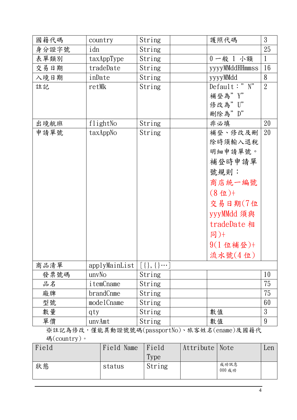| 國籍代碼  | country       | String        | 護照代碼                                            | 3              |
|-------|---------------|---------------|-------------------------------------------------|----------------|
| 身分證字號 | idn           | String        |                                                 | 25             |
| 表單類別  | taxAppType    | String        | 0一般 1 小額                                        | $\mathbf{1}$   |
| 交易日期  | tradeDate     | String        | yyyyMMddHHmmss                                  | 16             |
| 入境日期  | inDate        | String        | yyyyMMdd                                        | 8              |
| 註記    | retMk         | String        | Default:" $N''$                                 | $\overline{2}$ |
|       |               |               | 補登為"Y"                                          |                |
|       |               |               | 修改為" U"                                         |                |
|       |               |               | 刪除為" D"                                         |                |
| 出境航班  | flightNo      | String        | 非必填                                             | 20             |
| 申請單號  | taxAppNo      | String        | 補登、修改及刪                                         | 20             |
|       |               |               | 除時須輸入退稅                                         |                |
|       |               |               | 明細申請單號。                                         |                |
|       |               |               | 補登時申請單                                          |                |
|       |               |               | 號規則:                                            |                |
|       |               |               | 商店統一編號                                          |                |
|       |               |               | $(8 \text{ 1})+$                                |                |
|       |               |               | 交易日期(7位                                         |                |
|       |               |               | yyyMMdd 須與                                      |                |
|       |               |               |                                                 |                |
|       |               |               | tradeDate 相                                     |                |
|       |               |               | 同)+                                             |                |
|       |               |               | $9(1 \t\t 4 \t \frac{3}{4} \t \t \frac{3}{2})+$ |                |
|       |               |               | 流水號(4位)                                         |                |
| 商品清單  | applyMainList | $[\{\},\{\}]$ |                                                 |                |
| 發票號碼  | unvNo         | String        |                                                 | 10             |
| 品名    | itemCname     | String        |                                                 | 75             |
| 廠牌    | brandCnme     | String        |                                                 | 75             |
| 型號    | modelCname    | String        |                                                 | 60             |
| 數量    | qty           | String        | 數值                                              | 3              |
| 單價    | unvAmt        | String        | 數值                                              | 9              |

※註記為修改,僅能異動證號號碼(passportNo)、旅客姓名(ename)及國籍代 碼(country)。

| Field | Field Name | Field  | Attribute   Note |                | Len |
|-------|------------|--------|------------------|----------------|-----|
|       |            | Type   |                  |                |     |
| 狀態    | status     | String |                  | 成功訊息<br>000 成功 |     |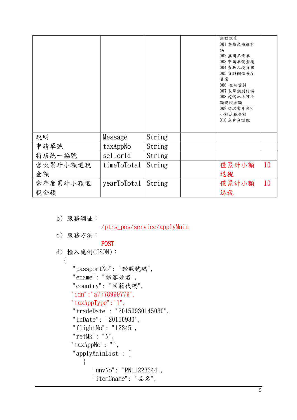|          |             |        | 錯誤訊息<br>001 為格式檢核有<br>誤<br>002 無商品清單<br>003 申請單號重複<br>004 查無入境資訊<br>005 資料欄位長度<br>異常<br>006 查無資料<br>007 表單類別錯誤<br>008 超過此次可小<br>額退稅金額<br>009 超過當年度可<br>小額退稅金額<br>010 無身分證號 |    |
|----------|-------------|--------|----------------------------------------------------------------------------------------------------------------------------------------------------------------------------|----|
| 說明       | Message     | String |                                                                                                                                                                            |    |
| 申請單號     | taxAppNo    | String |                                                                                                                                                                            |    |
| 特店統一編號   | sellerId    | String |                                                                                                                                                                            |    |
| 當次累計小額退稅 | timeToTotal | String | 僅累計小額                                                                                                                                                                      | 10 |
| 金額       |             |        | 退稅                                                                                                                                                                         |    |
| 當年度累計小額退 | yearToTotal | String | 僅累計小額                                                                                                                                                                      | 10 |
| 稅金額      |             |        | 退稅                                                                                                                                                                         |    |

```
b) 服務網址:
```
/ptrs\_pos/service/applyMain

```
c) 服務方法:
```
## **POST**

- d) 輸入範例(JSON):
	- {
- "passportNo": "證照號碼",
- "ename": "旅客姓名",
- "country": "國籍代碼",
- "idn":"a7778999779",
- "taxAppType":"1",
- "tradeDate": "20150930145030",
- "inDate": "20150930",
- "flightNo": "12345",
- "retMk": "N",
- "taxAppNo": "",
- "applyMainList": [

```
\{
```

```
 "unvNo": "RN11223344",
```

```
 "itemCname": "品名",
```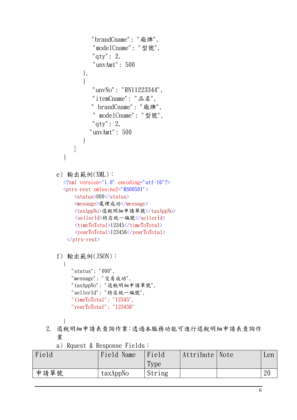```
 "brandCname": "廠牌", 
              "modelCname": "型號", 
              "qty": 2, 
              "unvAmt": 500 
          }, 
          { 
              "unvNo": "RN11223344", 
              "itemCname": "品名", 
             " brandCname": "廠牌", 
              " modelCname": "型號", 
              "qty": 2, 
             "unvAmt": 500 
          } 
       ] 
  } 
e) 輸出範例(XML): 
  \langle ?xml \text{ version}="1.0" \text{ encoding}="utf-16"? \rangle<ptrs-rest xmlns:ns2="RS00501">
       <status>000</status>
       <message>處理成功</message>
       <taxAppNo>退稅明細申請單號</taxAppNo> 
      <sellerId>特店統一編號</sellerId> 
      <timeToTotal>12345</timeToTotal>
      <yearToTotal>123456</yearToTotal>
   </ptrs-rest>
f) 輸出範例(JSON): 
  { 
      "status": "000", 
      "message": "交易成功", 
      "taxAppNo": "退稅明細申請單號", 
      "sellerId": "特店統一編號", 
      "timeToTotal": "12345", 
     "yearToTotal": "123456" 
  }
```
2. 退稅明細申請表查詢作業:透過本服務功能可進行退稅明細申請表查詢作 業

a) Rquest & Response Fields:

| Field | Field Name | Field  | Attribute   Note | Len |
|-------|------------|--------|------------------|-----|
|       |            | Type   |                  |     |
| 申請單號  | taxAppNo   | String |                  |     |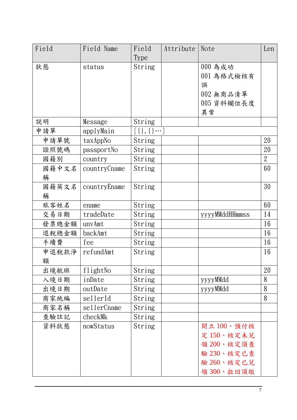| Field | Field Name   | Field                          | Attribute | Note           | Len            |
|-------|--------------|--------------------------------|-----------|----------------|----------------|
|       |              | Type                           |           |                |                |
| 狀態    | status       | String                         |           | 000 為成功        |                |
|       |              |                                |           | 001 為格式檢核有     |                |
|       |              |                                |           | 誤              |                |
|       |              |                                |           | 002 無商品清單      |                |
|       |              |                                |           | 005 資料欄位長度     |                |
|       |              |                                |           | 異常             |                |
| 說明    | Message      | String                         |           |                |                |
| 申請單   | applyMain    | $[ \, {\{ \},\{ \} \cdots } ]$ |           |                |                |
| 申請單號  | taxAppNo     | String                         |           |                | 20             |
| 證照號碼  | passportNo   | String                         |           |                | 20             |
| 國籍別   | country      | String                         |           |                | $\overline{2}$ |
| 國籍中文名 | countryCname | String                         |           |                | 60             |
| 稱     |              |                                |           |                |                |
| 國籍英文名 | countryEname | String                         |           |                | 30             |
| 稱     |              |                                |           |                |                |
| 旅客姓名  | ename        | String                         |           |                | 60             |
| 交易日期  | tradeDate    | String                         |           | yyyyMMddHHmmss | 14             |
| 發票總金額 | unvAmt       | String                         |           |                | 16             |
| 退稅總金額 | backAmt      | String                         |           |                | 16             |
| 手續費   | fee          | String                         |           |                | 16             |
| 申退稅款淨 | refundAmt    | String                         |           |                | 16             |
| 額     |              |                                |           |                |                |
| 出境航班  | flightNo     | String                         |           |                | 20             |
| 入境日期  | inDate       | String                         |           | yyyyMMdd       | 8              |
| 出境日期  | outDate      | String                         |           | yyyyMMdd       | 8              |
| 商家統編  | sellerId     | String                         |           |                | 8              |
| 商家名稱  | sellerCname  | String                         |           |                |                |
| 查驗註記  | checkMk      | String                         |           |                |                |
| 資料狀態  | nowStatus    | String                         |           | 開立100、預付核      |                |
|       |              |                                |           | 定150、核定未兑      |                |
|       |              |                                |           | 領200、核定須查      |                |
|       |              |                                |           | 驗 230、核定已查     |                |
|       |              |                                |           | 驗 260、核定已兌     |                |
|       |              |                                |           | 領300、拉回須繳      |                |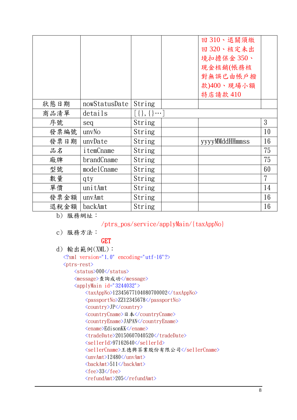|      |               |               | 回310、退關須繳<br>回320、核定未出<br>境扣擔保金350、<br>現金核銷(帳務核<br>對無誤已由帳戶撥<br>款)400、現場小額<br>特店請款 410 |    |
|------|---------------|---------------|---------------------------------------------------------------------------------------|----|
| 狀態日期 | nowStatusDate | String        |                                                                                       |    |
| 商品清單 | details       | $[\{\},\{\}]$ |                                                                                       |    |
| 序號   | seq           | String        |                                                                                       | 3  |
| 發票編號 | unvNo         | String        |                                                                                       | 10 |
| 發票日期 | unvDate       | String        | yyyyMMddHHmmss                                                                        | 16 |
| 品名   | itemCname     | String        |                                                                                       | 75 |
| 廠牌   | brandCname    | String        |                                                                                       | 75 |
| 型號   | modelCname    | String        |                                                                                       | 60 |
| 數量   | qty           | String        |                                                                                       | 7  |
| 單價   | unitAmt       | String        |                                                                                       | 14 |
| 發票金額 | unvAmt        | String        |                                                                                       | 16 |
| 退稅金額 | backAmt       | String        |                                                                                       | 16 |

b) 服務網址:

### /ptrs\_pos/service/applyMain/{taxAppNo}

c) 服務方法:

#### GET

```
d) 輸出範例(XML): 
   \langle ?xml \text{ version}="1.0" \text{ encoding}="utf-16"? \rangle<ptrs-rest>
        <status>000</status>
        <message>查詢成功</message>
       \langleapplyMain id="3244032">
             <taxAppNo>12345677104080700002</taxAppNo>
             <passportNo>ZZ12345678</passportNo>
             <country>JP</country>
             <countryCname>日本</countryCname>
             <countryEname>JAPAN</countryEname>
             <ename>EdisonKK</ename>
             <tradeDate>20150607040520</tradeDate> 
            <sellerId>97162640</sellerId> 
            <sellerCname>王德興茶業股份有限公司</sellerCname>
             <unvAmt>12480</unvAmt>
            \langlebackAmt>511\langlebackAmt>
            \langle fee \rangle33\langle free \rangle<refundAmt>205</refundAmt>
```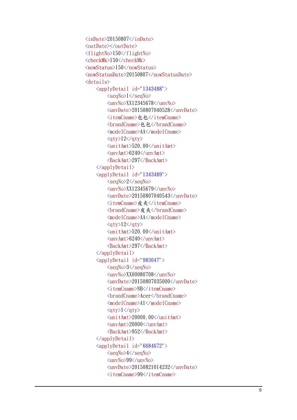```
\langleinDate>20150807\langleinDate><outDate></outDate>
\langleflightNo>150\langleflightNo>
<checkMk>150</checkMk> 
<nowStatus>150</nowStatus> 
<nowStatusDate>20150807</nowStatusDate>
 <details>
      <applyDetail id="1343488"> 
          <seqNo>1</seqNo>
         \langleunvNo\rangleXX12345678\langle/unvNo\rangle <unvDate>20150807040528</unvDate>
         <itemCname>包包</itemCname>
         <brandCname>包包</brandCname>
          <modelCname>AA</modelCname>
         \langle qty\rangle12\langle qty\rangle <unitAmt>520.00</unitAmt>
          <unvAmt>6240</unvAmt>
          <BackAmt>297</BackAmt>
     \langle/applyDetail>
      <applyDetail id="1343489"> 
          <seqNo>2</seqNo>
         \langleunvNo\rangleXX12345679\langle/unvNo\rangle <unvDate>20150807040543</unvDate>
         <itemCname>皮夾</itemCname>
         <br />
kmandCname>皮夾</brandCname>
          <modelCname>AA</modelCname>
         \langle qty\rangle12\langle qty\rangle <unitAmt>520.00</unitAmt>
          <unvAmt>6240</unvAmt>
          <BackAmt>297</BackAmt>
     \langle/applyDetail>
     \langleapplyDetail id="983047">
          <seqNo>3</seqNo>
          <unvNo>XX00080708</unvNo>
          <unvDate>20150807035000</unvDate>
          <itemCname>NB</itemCname>
          <brandCname>Acer</brandCname>
          <modelCname>A1</modelCname>
         \langle qty\rangle1\langle qty\rangle <unitAmt>20000.00</unitAmt>
          <unvAmt>20000</unvAmt>
          <BackAmt>952</BackAmt>
      </applyDetail>
     \langleapplyDetail id="6684672">
          <seqNo>4</seqNo>
          <unvNo>99</unvNo>
          <unvDate>20150821014232</unvDate>
         \langleitemCname\rangle99\langle/itemCname\rangle
```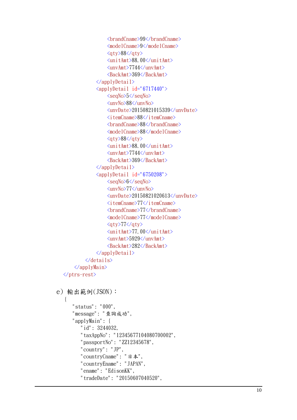```
 <brandCname>99</brandCname>
                      <modelCname>9</modelCname>
                     \langle qty\rangle88\langle qty\rangle <unitAmt>88.00</unitAmt>
                      <unvAmt>7744</unvAmt>
                      <BackAmt>369</BackAmt>
                \langle/applyDetail>
                 <applyDetail id="6717440">
                      <seqNo>5</seqNo>
                      <unvNo>88</unvNo>
                      <unvDate>20150821015339</unvDate>
                      <itemCname>88</itemCname>
                      <brandCname>88</brandCname>
                      <modelCname>88</modelCname>
                     \langle qty\rangle88\langle qty\rangle <unitAmt>88.00</unitAmt>
                      <unvAmt>7744</unvAmt>
                      <BackAmt>369</BackAmt>
                \langle/applyDetail>
                 <applyDetail id="6750208">
                      <seqNo>6</seqNo>
                      <unvNo>77</unvNo>
                      <unvDate>20150821020613</unvDate>
                      <itemCname>77</itemCname>
                      <brandCname>77</brandCname>
                      <modelCname>77</modelCname>
                     \langle qty\rangle77\langle qty\rangle <unitAmt>77.00</unitAmt>
                      <unvAmt>5929</unvAmt>
                      <BackAmt>282</BackAmt>
                \langle/applyDetail>
             </details>
        </applyMain>
  </ptrs-rest>
e) 輸出範例(JSON):
   { 
       "status": "000", 
       "message": "查詢成功", 
       "applyMain": { 
           "id": 3244032, 
           "taxAppNo": "12345677104080700002", 
           "passportNo": "ZZ12345678", 
           "country": "JP", 
           "countryCname": "日本", 
           "countryEname": "JAPAN", 
           "ename": "EdisonKK", 
           "tradeDate": "20150607040520",
```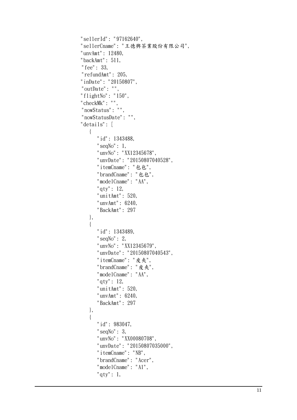```
 "sellerId": "97162640", 
 "sellerCname": "王德興茶業股份有限公司", 
 "unvAmt": 12480, 
 "backAmt": 511, 
"fee": 33, 
"refundAmt": 205, 
 "inDate": "20150807", 
"outDate": "", 
 "flightNo": "150", 
 "checkMk": "", 
"nowStatus": "", 
"nowStatusDate": "", 
 "details": [ 
   \{ "id": 1343488, 
       "seqNo" : 1,
        "unvNo": "XX12345678", 
        "unvDate": "20150807040528", 
        "itemCname": "包包", 
        "brandCname": "包包", 
        "modelCname": "AA", 
        "qty": 12, 
        "unitAmt": 520, 
        "unvAmt": 6240, 
        "BackAmt": 297 
    }, 
    { 
       "id": 1343489, 
        "seqNo": 2, 
        "unvNo": "XX12345679", 
        "unvDate": "20150807040543", 
        "itemCname": "皮夾", 
        "brandCname": "皮夾", 
        "modelCname": "AA", 
        "qty": 12, 
        "unitAmt": 520, 
        "unvAmt": 6240, 
        "BackAmt": 297 
    }, 
    { 
        "id": 983047, 
       "seqNo": 3, 
        "unvNo": "XX00080708", 
        "unvDate": "20150807035000", 
        "itemCname": "NB", 
       "brandCname": "Acer", 
        "modelCname": "A1", 
        "qty": 1,
```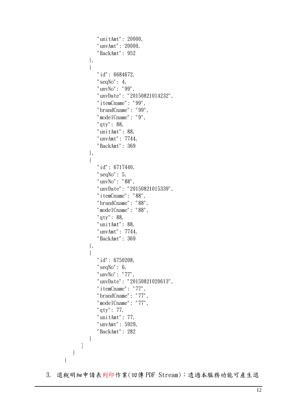```
 "unitAmt": 20000, 
               "unvAmt": 20000, 
               "BackAmt": 952 
           }, 
           { 
               "id": 6684672, 
              "seqNo" : 4,
               "unvNo": "99", 
               "unvDate": "20150821014232", 
               "itemCname": "99", 
               "brandCname": "99", 
               "modelCname": "9", 
               "qty": 88, 
               "unitAmt": 88, 
               "unvAmt": 7744, 
               "BackAmt": 369 
           }, 
           { 
               "id": 6717440, 
              "seqNo" : 5,
               "unvNo": "88", 
               "unvDate": "20150821015339", 
               "itemCname": "88", 
               "brandCname": "88", 
               "modelCname": "88", 
               "qty": 88, 
               "unitAmt": 88, 
               "unvAmt": 7744, 
               "BackAmt": 369 
           }, 
           { 
               "id": 6750208, 
              "seqNo" : 6, "unvNo": "77", 
               "unvDate": "20150821020613", 
               "itemCname": "77", 
               "brandCname": "77", 
               "modelCname": "77", 
               "qty": 77, 
               "unitAmt": 77, 
               "unvAmt": 5929, 
               "BackAmt": 282 
           } 
        ] 
    } 
}
```
3. 退稅明細申請表列印作業(回傳 PDF Stream):透過本服務功能可產生退